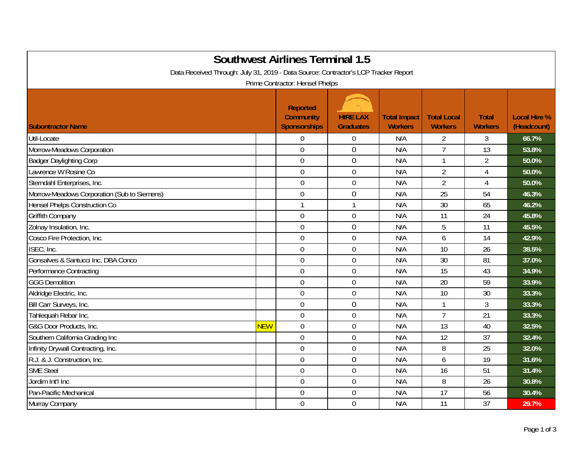| <b>Southwest Airlines Terminal 1.5</b><br>Data Received Through: July 31, 2019 - Data Source: Contractor's LCP Tracker Report<br>Prime Contractor: Hensel Phelps |            |                                                            |                                     |                                       |                                      |                                |                                    |  |  |
|------------------------------------------------------------------------------------------------------------------------------------------------------------------|------------|------------------------------------------------------------|-------------------------------------|---------------------------------------|--------------------------------------|--------------------------------|------------------------------------|--|--|
| <b>Subontractor Name</b>                                                                                                                                         |            | <b>Reported</b><br><b>Community</b><br><b>Sponsorships</b> | <b>HIRE LAX</b><br><b>Graduates</b> | <b>Total Impact</b><br><b>Workers</b> | <b>Total Local</b><br><b>Workers</b> | <b>Total</b><br><b>Workers</b> | <b>Local Hire %</b><br>(Headcount) |  |  |
| Util-Locate                                                                                                                                                      |            | $\overline{0}$                                             | $\boldsymbol{0}$                    | N/A                                   | $\overline{2}$                       | 3                              | 66.7%                              |  |  |
| Morrow-Meadows Corporation                                                                                                                                       |            | $\overline{0}$                                             | $\overline{0}$                      | N/A                                   | $\overline{7}$                       | 13                             | 53.8%                              |  |  |
| <b>Badger Daylighting Corp</b>                                                                                                                                   |            | $\overline{0}$                                             | 0                                   | N/A                                   | $\mathbf{1}$                         | $\overline{2}$                 | 50.0%                              |  |  |
| Lawrence W Rosine Co                                                                                                                                             |            | $\overline{0}$                                             | $\mathbf 0$                         | N/A                                   | $\overline{2}$                       | 4                              | 50.0%                              |  |  |
| Sterndahl Enterprises, Inc.                                                                                                                                      |            | $\mathbf 0$                                                | $\mathbf 0$                         | N/A                                   | $\overline{2}$                       | 4                              | 50.0%                              |  |  |
| Morrow-Meadows Corporation (Sub to Siemens)                                                                                                                      |            | $\overline{0}$                                             | 0                                   | N/A                                   | 25                                   | 54                             | 46.3%                              |  |  |
| Hensel Phelps Construction Co                                                                                                                                    |            | $\mathbf{1}$                                               | $\mathbf{1}$                        | N/A                                   | 30                                   | 65                             | 46.2%                              |  |  |
| <b>Griffith Company</b>                                                                                                                                          |            | $\overline{0}$                                             | $\mathbf 0$                         | N/A                                   | 11                                   | 24                             | 45.8%                              |  |  |
| Zolnay Insulation, Inc.                                                                                                                                          |            | $\mathbf 0$                                                | 0                                   | N/A                                   | 5                                    | 11                             | 45.5%                              |  |  |
| Cosco Fire Protection, Inc.                                                                                                                                      |            | $\overline{0}$                                             | $\mathbf 0$                         | N/A                                   | 6                                    | 14                             | 42.9%                              |  |  |
| ISEC, Inc.                                                                                                                                                       |            | $\mathbf 0$                                                | $\mathbf 0$                         | N/A                                   | 10                                   | 26                             | 38.5%                              |  |  |
| Gonsalves & Santucci Inc, DBA Conco                                                                                                                              |            | $\mathbf 0$                                                | $\mathbf 0$                         | N/A                                   | 30                                   | 81                             | 37.0%                              |  |  |
| Performance Contracting                                                                                                                                          |            | $\overline{0}$                                             | $\mathbf 0$                         | N/A                                   | 15                                   | 43                             | 34.9%                              |  |  |
| <b>GGG Demolition</b>                                                                                                                                            |            | $\mathbf 0$                                                | $\boldsymbol{0}$                    | N/A                                   | 20                                   | 59                             | 33.9%                              |  |  |
| Aldridge Electric, Inc.                                                                                                                                          |            | $\mathbf 0$                                                | $\boldsymbol{0}$                    | N/A                                   | 10                                   | 30                             | 33.3%                              |  |  |
| Bill Carr Surveys, Inc.                                                                                                                                          |            | $\overline{0}$                                             | $\overline{0}$                      | N/A                                   | $\mathbf{1}$                         | $\mathfrak{Z}$                 | 33.3%                              |  |  |
| Tahlequah Rebar Inc.                                                                                                                                             |            | $\mathbf 0$                                                | $\boldsymbol{0}$                    | N/A                                   | $\overline{7}$                       | 21                             | 33.3%                              |  |  |
| G&G Door Products, Inc.                                                                                                                                          | <b>NEW</b> | $\mathbf 0$                                                | $\mathbf 0$                         | N/A                                   | 13                                   | 40                             | 32.5%                              |  |  |
| Southern California Grading Inc                                                                                                                                  |            | $\overline{0}$                                             | $\mathbf 0$                         | N/A                                   | 12                                   | 37                             | 32.4%                              |  |  |
| Infinity Drywall Contracting, Inc.                                                                                                                               |            | $\overline{0}$                                             | $\mathbf 0$                         | N/A                                   | 8                                    | 25                             | 32.0%                              |  |  |
| R.J. & J. Construction, Inc.                                                                                                                                     |            | $\boldsymbol{0}$                                           | 0                                   | N/A                                   | 6                                    | 19                             | 31.6%                              |  |  |
| <b>SME Steel</b>                                                                                                                                                 |            | $\mathbf 0$                                                | $\mathbf 0$                         | N/A                                   | 16                                   | 51                             | 31.4%                              |  |  |
| Jordim Int'l Inc                                                                                                                                                 |            | $\mathbf 0$                                                | $\mathbf 0$                         | N/A                                   | 8                                    | 26                             | 30.8%                              |  |  |
| Pan-Pacific Mechanical                                                                                                                                           |            | $\overline{0}$                                             | $\mathbf 0$                         | N/A                                   | 17                                   | 56                             | 30.4%                              |  |  |
| Murray Company                                                                                                                                                   |            | $\overline{0}$                                             | $\mathbf 0$                         | N/A                                   | 11                                   | 37                             | 29.7%                              |  |  |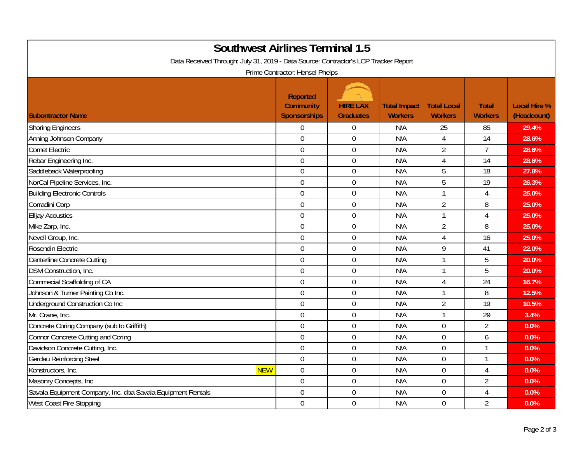| <b>Southwest Airlines Terminal 1.5</b><br>Data Received Through: July 31, 2019 - Data Source: Contractor's LCP Tracker Report<br>Prime Contractor: Hensel Phelps |            |                                                            |                                     |                                       |                                      |                                |                                    |  |  |
|------------------------------------------------------------------------------------------------------------------------------------------------------------------|------------|------------------------------------------------------------|-------------------------------------|---------------------------------------|--------------------------------------|--------------------------------|------------------------------------|--|--|
| <b>Subontractor Name</b>                                                                                                                                         |            | <b>Reported</b><br><b>Community</b><br><b>Sponsorships</b> | <b>HIRE LAX</b><br><b>Graduates</b> | <b>Total Impact</b><br><b>Workers</b> | <b>Total Local</b><br><b>Workers</b> | <b>Total</b><br><b>Workers</b> | <b>Local Hire %</b><br>(Headcount) |  |  |
| <b>Shoring Engineers</b>                                                                                                                                         |            | $\mathbf 0$                                                | $\boldsymbol{0}$                    | N/A                                   | 25                                   | 85                             | 29.4%                              |  |  |
| Anning Johnson Company                                                                                                                                           |            | $\mathbf 0$                                                | $\boldsymbol{0}$                    | N/A                                   | 4                                    | 14                             | 28.6%                              |  |  |
| <b>Comet Electric</b>                                                                                                                                            |            | $\overline{0}$                                             | $\mathbf 0$                         | N/A                                   | $\overline{2}$                       | $\overline{7}$                 | 28.6%                              |  |  |
| Rebar Engineering Inc.                                                                                                                                           |            | $\mathbf 0$                                                | $\mathbf 0$                         | N/A                                   | $\overline{4}$                       | 14                             | 28.6%                              |  |  |
| Saddleback Waterproofing                                                                                                                                         |            | $\overline{0}$                                             | $\mathbf 0$                         | N/A                                   | 5                                    | 18                             | 27.8%                              |  |  |
| NorCal Pipeline Services, Inc.                                                                                                                                   |            | $\overline{0}$                                             | $\boldsymbol{0}$                    | N/A                                   | 5                                    | 19                             | 26.3%                              |  |  |
| <b>Building Electronic Controls</b>                                                                                                                              |            | $\mathbf 0$                                                | $\mathbf 0$                         | N/A                                   | $\mathbf{1}$                         | $\overline{4}$                 | 25.0%                              |  |  |
| Corradini Corp                                                                                                                                                   |            | $\overline{0}$                                             | $\mathbf 0$                         | N/A                                   | $\overline{2}$                       | 8                              | 25.0%                              |  |  |
| <b>Elljay Acoustics</b>                                                                                                                                          |            | $\mathbf 0$                                                | $\mathbf 0$                         | N/A                                   | 1                                    | $\overline{4}$                 | 25.0%                              |  |  |
| Mike Zarp, Inc.                                                                                                                                                  |            | $\mathbf 0$                                                | $\boldsymbol{0}$                    | N/A                                   | $\overline{2}$                       | 8                              | 25.0%                              |  |  |
| Nevell Group, Inc.                                                                                                                                               |            | $\mathbf 0$                                                | $\boldsymbol{0}$                    | N/A                                   | $\overline{4}$                       | 16                             | 25.0%                              |  |  |
| Rosendin Electric                                                                                                                                                |            | $\mathbf 0$                                                | $\boldsymbol{0}$                    | N/A                                   | 9                                    | 41                             | 22.0%                              |  |  |
| Centerline Concrete Cutting                                                                                                                                      |            | $\mathbf 0$                                                | $\boldsymbol{0}$                    | N/A                                   | $\mathbf{1}$                         | 5                              | 20.0%                              |  |  |
| DSM Construction, Inc.                                                                                                                                           |            | $\mathbf 0$                                                | $\mathbf 0$                         | N/A                                   | $\mathbf{1}$                         | 5                              | 20.0%                              |  |  |
| Commecial Scaffolding of CA                                                                                                                                      |            | $\mathbf 0$                                                | $\mathbf 0$                         | N/A                                   | $\overline{4}$                       | 24                             | 16.7%                              |  |  |
| Johnson & Turner Painting Co Inc.                                                                                                                                |            | $\mathbf 0$                                                | $\boldsymbol{0}$                    | N/A                                   | $\mathbf{1}$                         | 8                              | 12.5%                              |  |  |
| Underground Construction Co Inc                                                                                                                                  |            | $\overline{0}$                                             | $\mathbf 0$                         | N/A                                   | $\overline{2}$                       | 19                             | 10.5%                              |  |  |
| Mr. Crane, Inc.                                                                                                                                                  |            | $\mathbf 0$                                                | $\mathbf 0$                         | N/A                                   | $\mathbf{1}$                         | 29                             | 3.4%                               |  |  |
| Concrete Coring Company (sub to Griffith)                                                                                                                        |            | $\overline{0}$                                             | $\overline{0}$                      | N/A                                   | $\Omega$                             | $\overline{2}$                 | 0.0%                               |  |  |
| <b>Connor Concrete Cutting and Coring</b>                                                                                                                        |            | $\mathbf 0$                                                | $\boldsymbol{0}$                    | N/A                                   | $\overline{0}$                       | 6                              | 0.0%                               |  |  |
| Davidson Concrete Cutting, Inc.                                                                                                                                  |            | $\mathbf 0$                                                | $\boldsymbol{0}$                    | N/A                                   | $\mathbf 0$                          | $\mathbf{1}$                   | 0.0%                               |  |  |
| Gerdau Reinforcing Steel                                                                                                                                         |            | $\overline{0}$                                             | $\boldsymbol{0}$                    | N/A                                   | $\overline{0}$                       | 1                              | 0.0%                               |  |  |
| Konstructors, Inc.                                                                                                                                               | <b>NEW</b> | $\mathbf 0$                                                | $\mathbf 0$                         | N/A                                   | $\overline{0}$                       | $\overline{4}$                 | 0.0%                               |  |  |
| Masonry Concepts, Inc                                                                                                                                            |            | $\overline{0}$                                             | $\mathbf 0$                         | N/A                                   | $\overline{0}$                       | $\overline{2}$                 | 0.0%                               |  |  |
| Savala Equipment Company, Inc. dba Savala Equipment Rentals                                                                                                      |            | $\overline{0}$                                             | $\boldsymbol{0}$                    | N/A                                   | $\overline{0}$                       | $\overline{4}$                 | 0.0%                               |  |  |
| West Coast Fire Stopping                                                                                                                                         |            | $\mathbf 0$                                                | $\mathbf 0$                         | N/A                                   | $\overline{0}$                       | $\overline{2}$                 | 0.0%                               |  |  |